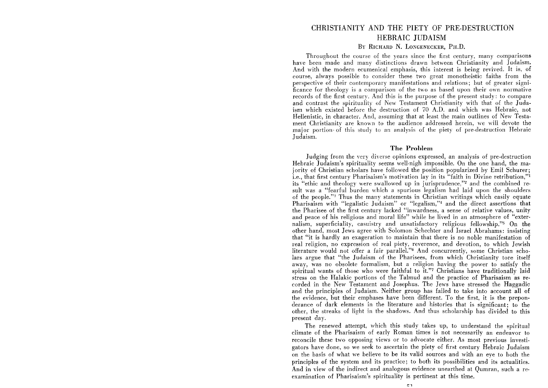# CHRISTIANITY AND THE PIETY OF PRE-DESTRUCTION HEBRAIC JUDAISM

## BY RICHARD N. LONGENECKER, PH.D.

Throughout the course of the years since the first century, many comparisons have been made and many distinctions drawn between Christianity and Judaism. And with the modern ecumenical emphasis, this interest is being revived. It is, of course, always possible to consider these two great monotheistic faiths from the perspective of their contemporary manifestations and relations; but of greater significance for theology is a comparison of the two as based upon their own normative records of the first century. And this is the purpose of the present study: to compare and contrast the spirituality of New Testament Christianity with that of the Judaism which existed before the destruction of 70 A.D. and which was Hebraic, not Hellenistic, in character. And, assuming that at least the main outlines of New Testament Christianity are known to the audience addressed herein, we will devote the major portion· of this study to an analysis of the piety of pre-destruction Hebraic Judaism.

#### **The Problem**

Judging from the very diverse opinions expressed, an analysis of pre-destruction Hebraic Judaism's spirituality seems well-nigh impossible. On the one hand, the majority of Christian scholars have followed the position popularized by Emil Schurer; i.e., that first century Pharisaism's motivation lay in its "faith in Divine retribution,"l its "ethic and theology were swallowed up in jurisprudence,"2 and the combined result was a "fearful burden which a spurious legalism had laid upon the shoulders of the people."3 Thus the many statements in Christian writings which easily equate Pharisaism with "legalistic Judaism" or "legalism,"<sup>4</sup> and the direct assertions that the Pharisee of the first century lacked "inwardness, a sense of relative values, unity and peace of his religious and moral life" while he lived in an atmosphere of "externalism, superficiality, casuistry and unsatisfactory religious fellowship."s On the other hand, most Jews agree with Solomon Schechter and Israel Abrahams: insisting that "it is hardly an exageration to maintain that there is no noble manifestation of real religion, no expression of real piety, reverence, and devotion, to which Jewish literature would not offer a fair parallel."6 And concurrently, some Christian scholars argue that "the Judaism of the Pharisees, from which Christianity tore itself away, was no obsolete formalism, but a religion having the power to satisfy the spiritual wants of those who were faithful to it."7 Christians have traditionally laid stress on the Halakic portions of the Talmud and the practice of Pharisaism as recorded in the New Testament and Josephus. The Jews have stressed the Haggadic and the principles of Judaism. Neither group has failed to take into account all of the evidence, but their emphases have been different. To the first, it is the preponderance of dark elements in the literature and histories that is significant; to the other, the streaks of light in the shadows. And thus scholarship has divided to this present day.

The renewed attempt, which this study takes up, to understand the spiritual climate of the Pharisaism of early Roman times is not necessarily an endeavor to reconcile these two opposing views or to advocate either. As most previous investigators have done, so we seek to ascertain the piety of first century Hebraic Judaism on the basis of what we believe to be its valid sources and with an eye to both the principles of the system and its practice; to both its possibilities and its actualities. And in view of the indirect and analogous evidence unearthed at Qumran, such a reexamination of Pharisaism's spirituality is pertinent at this time.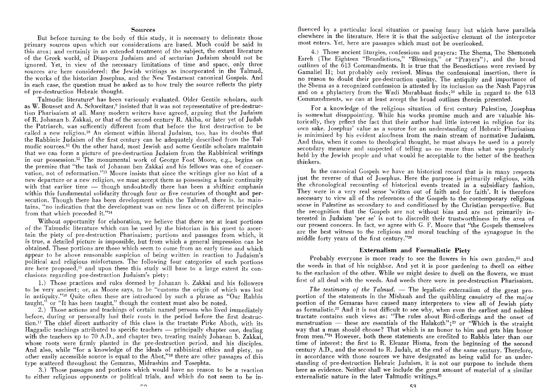#### Sources

But before turning to the body of this study, it is necessary to delineate those primary sources upon which our considerations are based. Much could be said in this area; and certainly in an extended treatment of the subject, the extant literature of the Greek world, of Diaspora Judaism and of sectarian Judaism should not be ignored. Yet, in view of the necessary limitations of time and space, only three sources are here considered: the Jewish writings as incorporated in the Talmud, the works of the historian Josephus, and the New Testament canonical Gospels. And in each case, the question must be asked as to how truly the source reflects the piety of pre-destruction Hebraic thought.

Talmudic literatures has been variously evaluated. Older Gentile scholars, such as W. Bousset and A. Schweitzer,<sup>9</sup> insisted that it was not representative of pre-destruction Pharisaism at all. Many modern writers have agreed, arguing that the Judaism of R. Johanan b. Zakkai, or that of the second century R. Akiba, or later yet of Judah the Patriarch, was sufficently different from that before the first destruction to be called a new religion.<sup>10</sup> An element within liberal Judaism, too, has its doubts that the Rabbinic Judaism of the first century can be adequately described from the Talmudic sources.ll On the other hand, most Jewish and some Gentile scholars maintain that we can form a picture of pre-destruction Judaism from the Rabbinical writings in our possession.12 The monumental work of George Foot Moore, e.g., begins on the premise that "the task of Johanan ben Zakkai and his fellows was one of conservation, not of reformation."13 Moore insists that since the writings give no hint of a new departure or a new religion, we must accept them as possessing a basic continuity with that earlier time  $-$  though undoubtedly there has been a shifting emphasis within this fundamental solidarity through four or five centuries of thought and persecution. Though there has been development within the Talmud, there is, he maintains, "no indication that the development was on new lines or on different principles from that which preceded it. "14

Without opportunity for elaboration, we believe that there are at least portions of the Talmudic literature which can be used *by* the historian in his quest to ascertain the piety of pre-destruction Pharisaism; portions and passages from which, it is true, a detailed picture is impossible, but from which a general impression can be obtained. These portions are those which seem to come from an early time and which appear to be above reasonable suspicion of being written in reaction to Judaism's political and religious misfortunes. The following four categories of such portions are here proposed,<sup>15</sup> and upon these this study will base to a large extent its conclusions regarding pre-destruction Judaism's piety:

1.) Those practices and rules deemed by Johanan b. Zakkai and his followers to be very ancient; or, as Moore says, to be "customs the origin of which was lost in antiquity."16 Quite often these are introduced by such a phrase as "Our Rabbis taught," or "It has been taught," though the context must also be noted.

2.) Those actions and teachings of certain named persons who lived immediately before, during or personally had their roots in the period before the first destruction.<sup>17</sup> The chief direct authority of this class is the tractate Pirke Aboth, with its Haggadic teachings attributed to specific teachers — principally chapter one, dealing with the teachers up to 70 A.D., and chapter two, treating mainly Johanan b. Zakkai, whose roots were firmly planted in the pre-destruction period, and his disciples. And also, while "for a knowledge of the ideals of rabbinical ethics and piety, no other easily accessible source is equal to the Abot,"18 there are other passages of this *type* scattered throughout the Gemaras, Midrashim and Tosephta.

3.) Those passages and portions which would have no reason to be a reaction to either religious opponents or political trials, and which do not seem to be inrn

fluenced by a particular local situation or passing fancy but which have parallels elsewhere in the literature. Here it is that the subjective element of the interpreter most enters. Yet, here are passages which must not be overlooked.

4.) Those ancient liturgies, confessions and prayers: The Shema, The Shemoneh Esreh (The Eighteen "Benedictions," "Blessings," or "Prayers"), and the broad outlines of the 613 Commandments. It is true that the Benedictions were revised by Gamaliel 11; but probably only revised. Minus the confessional insertion, there is no reason to doubt their pre-destruction quality. The antiquity and importance of the Shema as a recognized confession is attested by its inclusion on the Nash Papyrus and on a phylactery from the Wadi Murabbaat finds; 19 while in regard to the 613 Commandments, we can at least accept the broad outlines therein presented.

For a knowledge of the religious situation of first century Palestine, Josephus is somewhat disappointing. While his works promise much and are valuable historically, they reflect the fact that their author had little interest in religion for its own sake. Josephus' value as a source for an understanding of Hebraic Pharisaism is minimized by his evident aloofness from the main stream of normative Judaism. And thus, when it comes to theological thought, he must always be used in a purely secondary measure and suspected of telling us no more than what was popularly held by the Jewish people and what would be acceptable to the better of the heathen thinkers.

In the canonical Gospels we have an historical record that is in many respects just the reverse of that of Josephus. Here the purpose is primarily religious, with the chronological recounting of historical events treated in a subsidiary fashion. They were in a very real sense 'written out of faith and for faith'. It is therefore necessary to view all of the references of the Gospels to the contemporary religious scene in Palestine as secondary to and conditioned by the Christian perspective. But the recognition that the Gospels are not without bias and are not primarily interested in Judaism 'per se' is not to discredit their trustworthiness in the area of our present concern. In fact, we agree with G. F. Moore that "the Gospels themselves are the best witness to the religious and moral teaching of the synagogue in the middle forty years of the first century."20

#### **Externalism and Formalistic Piety**

Probably everyone is more ready to see the flowers in his own garden,<sup>21</sup> and the weeds in that of his neighbor. And yet it is poor gardening to dwell on either to the exclusion of the other. While we might desire to dwell on the flowers, we must first of all deal with the weeds. And weeds there were in pre-destruction Pharisaism.

*The testimony of the Talmud.* — The legalistic externalism of the great proportion of the statements in the Mishnah and the quibbling casuistry of the major portion of the Gemaras have caused many interpreters to view all of Jewish piety as formalistic.<sup>22</sup> And it is not difficult to see why, when even the earliest and noblest tractate contains such views as: "The rules about Bird-offerings and the onset of menstruation - these are essentials of the Halakoth";<sup>23</sup> or "Which is the straight way that a man should choose? That which is an honor to him and gets him honor from men."24 However, both these statements are credited to Rabbis later than our time of interest; the first to R. Eleazar Hisma, from the beginning of the second century A.D., and the second to R. Judah, at the end of the same century. Therefore, in accordance with those sources we have designated as being valid for an understanding of pre-destruction Hebraic Judaism, it is not our purpose to include them here as evidence. Neither shall we include the great amount of material of a similar externalistic nature in the later Talmudic writings.<sup>25</sup>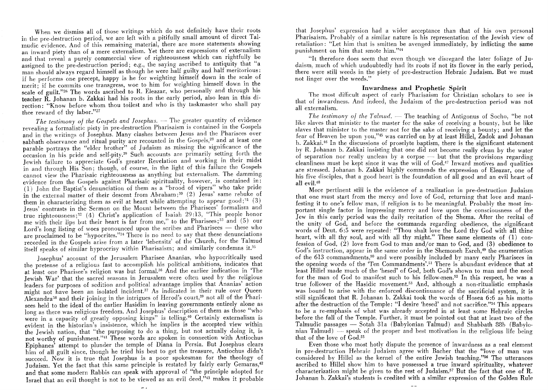When we dismiss all of those writings which do not definitely have their roots in the pre-destruction period, we are left with a pitifully small amount of direct Talmudic evidence. And of this remaining material, there are more statements showing an inward piety than of a mere externalism. Yet there are expressions of externalism and that reveal a purely commercial view of righteousness which can rightfully be assigned to the pre-destruction period; e.g., the saying ascribed to antiquity that "a man should always regard himself as though he were half guilty and half meritorious: if he performs one precept, happy is he for weighting himself down in the scale of merit; if he commits one transgress, woe to him for weighting himself down in the scale of guilt."<sup>26</sup> The words ascribed to R. Eleazar, who personally and through his teacher R. Johanan b. Zakkai had his roots in the early period, also lean in this direction: "Know before whom thou toilest and who is thy taskmaster who shall pay thee reward of thy labor."27

The testimony of the Gospels and Josephus. - The greater quantity of evidence revealing a formalistic piety in pre-destruction Pharisaism is contained in the Gospels and in the writings of Josephus. Many clashes between Jesus and the Pharisees over sabbath observance and ritual purity are recounted in the Gospels,<sup>28</sup> and at least one parable portrays the "elder brother" of Judaism as missing the significance of the  $\overline{\text{occasion}}$  in his pride and self-pity.<sup>29</sup> Such accounts are primarily setting forth the Jewish failure to appreciate God's greater Revelation and working in their midst in and through His Son; though, of course, in the light of this failure the Gospels cannot view the Pharisaic righteousness as anything but externalism. The damming evidence from the Gospels against Pharisaic spirituality, however, is contained in:  $(1)$  John the Baptist's denunciation of them as a "brood of vipers" who take pride in the external matter of their descent from Ahraham;30 (2) Jesus' same rebuke of them in characterizing them as evil at heart while attempting to appear good;<sup>31</sup> (3) Jesus' contrasts in the Sermon on the Mount between the Pharisees' formalism and true righteousness;<sup>32</sup> (4) Christ's application of Isaiah 29:13, "This people honor me with their lips but their heart is far from me," to the Pharisees;<sup>33</sup> and (5) our Lord's long listing of woes pronounced upon the scribes and Pharisees  $-$  these who are proclaimed to be "hypocrites."34 There is no need to say that these denunciations recorded in the Gospels arise from a later 'lebensitz' of the Church, for the Talmud itself speaks of similar hyprocrisy within Pharisaism; and similarly condemns it.35

] osephus' account of the Jerusalem Pharisee Ananias, who hypocritically used the pretense of a religious fast to accomplish his political ambitions, indicates that at least one Pharisee's religion was but formal.<sup>36</sup> And the earlier indication in 'The Jewish War' that the sacred seasons in Jerusalem were often used by the religious leaders for purposes of sedition and political advantage implies that Ananias' action might not have been an isolated incident.<sup>37</sup> As indicated in their rule over Queen Alexandra38 and their joining in the intrigues of Herod's court,39 not all of the Pharisees held to the ideal of the earlier Hasidim in leaving governments entirely alone as long as there was religious freedom. And Josephus' description of them as those "who were in a capacity of greatly opposing kings" is telling.<sup>40</sup> Certainly externalism is evident in the historian's insistence, which he implies is the accepted view within the Jewish nation, that "the purposing to do a thing, but not actually doing it, is not worthy of punishment."<sup>41</sup> These words are spoken in connection with Antiochus Epiphanes' attempt to plunder the temple of Diana in Persia. But Josephus clears him of all guilt since, though he tried his best to get the treasure, Antiochus didn't succeed. Now it is true that Josephus is a poor spokesman for the theology of Judaism. Yet the fact that this same principle is restated by fairly early Gemaras,42 and that some modern Rabbis can speak with approval of "the principle adopted for Israel that an evil thought is not to be viewed as an evil deed,"43 makes it probable

that Josephus' expression had a wider acceptance than that of his own personal Pharisaism. Probably of a similar nature is his representation of the Jewish view of retaliation: "Let him that is smitten be avenged immediately, by inflicting the same punishment on him that smote him."44

"It therefore does seem that even though we disregard the later foliage of Judaism, much of which undoubtedly had its roots if not its flower in the early period, there were still weeds in the piety of pre-destruction Hebraic Judaism. But we must not linger over the weeds."

# **Inwardness and Prophetic Spirit**

The most difficult aspect of early Pharisaism for Christian scholars to see is that of inwardness. And indeed, the Judaism of the pre-destruction period was not all externalism.

*The testimony of the Talmud.* — The teaching of Antigonus of Socho, "be not like slaves that minister to the master for the sake of receiving a bounty, but be like slaves that minister to the master not for the sake of receiving a bounty; and let the fear of Heaven be upon you,"45 was carried on by at least Hillel, Zadok and Johanan b. Zakkai. 46 In the discussions of proselyte baptism, there is the significant statement by R. Johanan b. Zakkai insisting that one did not become really clean by the water of separation nor really unclean by a corpse  $-$  but that the provisions regarding cleanliness must be kept since it was the will of  $God<sup>47</sup>$  Inward motives and qualities are stressed. Johanan b. Zakkai highly commends the expression of Eleazar, one of his five disciples, that a good heart is the foundation of all good and an evil heart of all evil.<sup>48</sup>

More pertinent still is the evidence of a realization in pre-destruction Judaism that one must start from the mercy and love of God, returning that love and manifesting it to one's fellow man, if religion is to be meaningful. Probably the most important single factor in impressing mercy and love upon the consciousness of the Jew in this early period was the daily recitation of the Shema. After the recital of the unity of God, and before the commands regarding obedience, the significant words of Deut. 6:5 were repeated: "Thou shalt love the Lord thy God with all thine heart, with all thy soul, and with all thy might." These same elements of (1) confession of God, (2) love from God to man and/or man to God, and (3) obedience to God's instruction, appear in the same order in the Shemoneh Esreh,<sup>49</sup> the enumeration of the 613 commandments,<sup>50</sup> and were possibly included by many early Pharisees in the opening words of the 'Ten Commandments'.51 There is abundant evidence that at least Hillel made much of the 'hesed' of God, both God's shown to man and the need for the man of God to manifest such to his fellow-men.52 In this respect, he was a true follower of the Hasidic movement.53 And, although a non-ritualistic emphasis was bound to arise with the enforced discontinuance of the sacrificial system, it is still significant that R. Johanan b. Zakkai took the words of Hosea 6:6 as his motto after the destruction of the Temple: "I desire 'hesed' and not sacrifice."54 This appears to be a re-emphasis of what was already accepted in at least some Hebraic circles before the fall of the Temple. Further, it must be pointed out that at least two of the Talmudic passages ~ Sotah 31a (Babylonian Talmud) and Shabbath 88b (Babylonian Talmud)  $-$  speak of the proper and best motivation in the religious life being that of the love of GOd.55

Even those who most hotly dispute the presence of inwardness as a real element in pre-destruction Hebraic Judaism agree with Bacher that the "love of man was considered by Hillel as the kernel of the entire Jewish teaching."56 The utterances ascribed to Hillel show him to have possessed a true inward spirituality, whatever characterization might be given to the rest of Judaism.57 But the fact that one of R. Johanan b. Zakkai's students is credited with a similar expression of the Golden Rule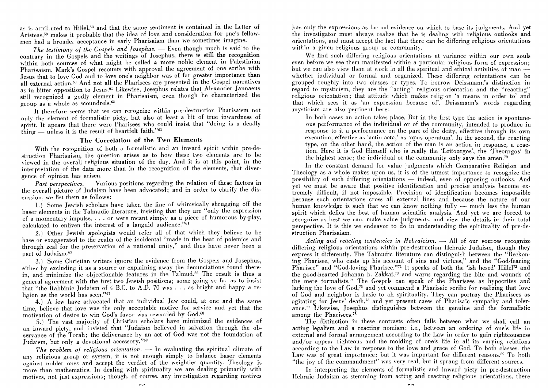as is attributed to Hillel,<sup>58</sup> and that the same sentiment is contained in the Letter of Aristeas,<sup>59</sup> makes it probable that the idea of love and consideration for one's fellowmen had a broader acceptance in early Pharisaism than we sometimes imagine.

*The testimony of the Gospels and Josephus.* - Even though much is said to the contrary in the Gospels and the writings of Josephus, there is still the recognition within both sources of what might be called a more noble element in Palestinian Pharisaism. Mark's Gospel recounts with approval the agreement of one scribe with Jesus that to love God and to love one's neighbor was of far greater importance than all external action.<sup>60</sup> And not all the Pharisees are presented in the Gospel narratives as in bitter opposition to Jesus.<sup>61</sup> Likewise, Josephus relates that Alexander Jannaeus still recognized a godly element in Pharisaism, even though he characterized the group as a whole as scoundrels.62

It therefore seems that we can recognize within pre-destruction Pharisaism not only the element of formalistic piety, but also at least a bit of true inwardness of spirit. It apears that there were Pharisees who could insist that "doing is a deadly  $t\overline{\text{hing}}$  - unless it is the result of heartfelt faith."63

#### **The Correlation of the Two Elements**

With the recognition of both a formalistic and an inward spirit within pre-destruction Pharisaism, the question arises as to how these two elements are to be viewed in the overall religious situation of the day. And it is at this point, in the interpretation of the data more than in the recognition of the elements, that divergence of opinion has arisen.

*Past perspectives.* - Various positions regarding the relation of these factors in the overall picture of Judaism have been advocated; and in order to clarify the discussion, we list them as follows:

1.) Some Jewish scholars have taken the line of whimsically shrugging off the baser elements in the Talmudic literature, insisting that they are "only the expression of a momentary impulse, ... or were meant simply as a piece of humorous by-play, calculated to enliven the interest of a languid audience."61

2.) Other Jewish apologists would refer all of that which they believe to be base or exaggerated to the realm of the incidental "made in the heat of polemics and through zeal for the preservation of a national unity," and thus have never been a part of Judaism.<sup>65</sup>

3.) Some Christian writers ignore the evidence from the Gospels and Josephus, either by excluding it as a source or explaining away the denunciations found therein, and minimize the objectionable features in the Talmud.<sup>66</sup> The result is thus a general aareement with the first two Jewish positions; some going so far as to insist that "the Rabbinic Judaism of 4 B.C. to A.D. 70 was . . . as bright and happy a religion as the world has seen."67

4.) A few have advocated that an individual Jew could, at one and the same time, believe that love was the only acceptable motive for service and yet that the motivation of desire to win God's favor was rewarded by God.68

5.) The vast majority of Christian scholars have minimized the evidences of an inward piety, and insisted that "Judaism believed in salvation through the observance of the Torah; the deliverance by an act of God was not the foundation of Judaism, but only a devotional accessory."69

*The problem of religious orientation.* - In evaluating the spiritual climate of any religious group or system, it is not enough simply to balance baser elements against nobler ones and accept the verdict of the weightier quantity. Theology is more than mathematics. In dealing with spirituality we are dealing primarily with motives, not just expressions; though, of course, any investigation regarding motives

has only the expressions as factual evidence on which to base its judgments. And yet the investigator must always realize that he is dealing with religious outlooks and orientations, and must accept the fact that there can be differing religious orientations within a given religious group or community.

We find such differing religious orientations at variance within our own souls even before we see them manifested within a particular religious form of expression; but we can also view them at work in all the spiritual and ethical activities of man -whether individual or formal and organized. These differing orientations can be grouped roughly into two classes or types. To borrow Deissmann's distinction in regard to mysticism, they are the "acting" religious orientation and the "reacting" religious orientation; that attitude which makes religion 'a means in order to' and that which sees it as 'an expression because of'. Deissmann's words regarding mysticism are also pertinent here:

In both cases an action takes place. But in the first type the action is spontaneous performance of the individual or of the community, intended to produce in response to it a performance on the part of the deity, effective through its own execution, effective as 'actio acta,' as 'opus operatum'. In the second, the reacting type, on the other hand, the action of the man is an action in response, a reaction. Here it is God Himself who is really the 'Leitourgos', the 'Theourgos' in the highest sense; the individual or the community only says the amen.<sup>70</sup>

In the constant demand for value judgments which Comparative Religion and Theology as a whole makes upon us, it is of the utmost importance to recognize the possibility of such differing orientations  $-$  indeed, even of opposing outlooks. And yet we must be aware that positive identification and precise analysis become extremely difficult, if not impossible. Precision of identification becomes impossible because such orientations cross all external lines and because the nature of our human knowledge is such that we can know nothing fully  $-$  much less the human spirit which defies the best of human scientific analysis. And yet we are forced to recognize as best we can, make value judgments, and view the details in their total perspective. It is this we endeavor to do in understanding the spirituality of pre-destruction Pharisaism.

Acting and reacting tendencies in Hebraicism. - All of our sources recognize differing religious orientations within pre-destruction Hebraic Judaism, though they express it differently. The Talmudic literature can distinguish between the "Reckoning Pharisee, who casts up his account of sins and virtues," and the "God-fearing Pharisee" and "God-loving Pharisee."<sup>71</sup> It speaks of both the 'ish hesed' Hillel<sup>72</sup> and the good-hearted Johanan b. Zakkai,73 and warns regarding the bite and wounds of the mere formalists.<sup>74</sup> The Gospels can speak of the Pharisees as hypocrites and lacking the love of  $God<sub>,75</sub>$  and yet commend a Pharisaic scribe for realizing that love of God and neighbor is basic to all spirituality. They can portray the Pharisees as agitating for Jesus' death,76 and yet present cases of Pharisaic sympathy and tolerance.<sup>77</sup> Likewise, Josephus distinguishes between the genuine and the formalistic among the Pharisees.<sup>78</sup>

The distinction in these contrasts often falls between what we shall call an acting legalism and a reacting nomism; i.e., between an ordering of one's life in external and formal arrangement according to the Law in order to gain righteousness and/or appear righteous and the molding of one's life in all its varying relations according to the Law in response to the love and grace of God. To both classes. the Law was of great importance: but it was important for different reasons.<sup>80</sup> To both "the joy of the commandment" was very real, but it sprang from different sources.

In interpreting the elements of formalistic and inward piety in pre-destruction Hebraic Judaism as stemming from acting and reacting religious orientations, there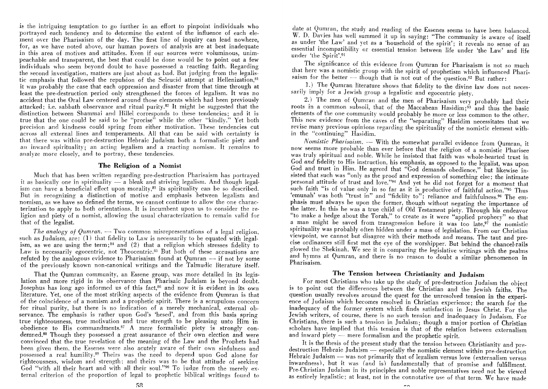is the intriguing temptation to go further in an effort to pinpoint individuals who portrayed each tendency and to determine the extent of the influence of each ele· ment over the Pharisaism of the day. The first line of inquiry can lead nowhere, for, as we have noted above, our human powers of analysis are at best inadequate in this area of motives and attitudes. Even if our sources were voluminous, unim· peachable and transparent, the best that could be done would be to point out a few individuals who seem beyond doubt to have possessed a reacting faith. Regarding the second investigation, matters are just about as bad. But judging from the legalis. tic emphasis that followed the repulsion of the Seleucid attempt at Hellenization,<sup>81</sup> it was probably the case that each oppression and disaster from that time through at least the pre.destruction period only strengthened the forces of legalism. It was no accident that the Oral Law centered around those elements which had been previously attacked; i.e. sabbath observance and ritual purity. $B^2$  It might be suggested that the distinction between Shammai and Hillel corresponds to these tendencies; and it is true that the one could be said to be "precise" while the other "kindly." Yet both precision and kindness could spring from either motivation. These tendencies cut across all external lines and temperaments. All that can be said with certainty is that there was within pre-destruction Hebraic Judaism both a formalistic piety and an inward spirituality; an acting legalism and a reacting nomism. **It** remains to analyze more closely, and to portray, these tendencies.

### **The Religion of a Nomist**

Much that has been written regarding pre-destruction Pharisaism has portrayed it as basically one in spirituality  $\overline{-}$  a bleak and striving legalism. And though legalism can have a beneficial effect upon morality,83 its spirituality can be so described. But in recognizing a distinction of motive and emphasis hetween legalism ancl nomism, as we have so defined the terms, we cannot continue to allow the one charac· terization to apply to both orientations. It is incumbent upon us to consider the religion and piety of a nomist, allowing the usual characterization to remain valid for that of the legalist.

*The analogy of Qumran.* — Two common misrepresentations of a legal religion. such as Judaism,  $are: (1)$  that fidelity to Law is necessarily to be equated with legalism, as we are using the term;<sup>84</sup> and (2) that a religion which stresses fidelity to Law is necessarily egocentric, not Theocentric.<sup>85</sup> But both of these accusations are refuted by the analogous evidence to Pharisaism found at Qumran  $-$  if not by some of the previously known non·canonical writings and the Talmudic literature itself.

That the Qumran community, an Essene group, was more detailed in its legis· lation and more rigid in its observance than Pharisaic Judaism is beyond doubt. Josephus has long ago informed us of this fact,<sup>86</sup> and now it is evident in its own literature. Yet, one of the most striking aspects of the evidence from Qumran is that of the coincidence of a nomism and a prophetic spirit. There is a scrupulous concern for ritual purity, but there is no indication of a merely mechanical, external ob· servance. The emphasis is rather upon God's 'hesed', and from this basis spring true righteousness, true motivation and true strength to be pleasing unto Him in obedience to His commandments.<sup>87</sup> A mere formalistic piety is strongly condemned.Bs Though they possessed a great assurance of their own election and were convinced that the true revelation of the meaning of the Law and the Prophets had been given them, the Essenes were also acutely aware of their own sinfulness and possessed a real humility.89 Theirs was the need to depend upon God alone for righteousness, wisdom and strength; and theirs was to be that attitude of seeking God "with all their heart and with all their soul."90 To judge from the merely external criterion of the proportion of legal to prophetic hiblical writings found to

date at Qumran, the study and reading of the Essenes seems to have been balanced. W. D. Davies has well summed it up in saying: "The community is aware of itself as under 'the Law' and yet as a 'household of the spirit'; it reveals no sense of an essential incompatibility or essential tension between life under 'the Law' and life under 'the Spirit'.9!

The significance of this evidence from Qumran for Pharisaism is not so much that here was a nomistic group with the spirit of prophetism which influenced Pharisaism for the better  $-$  though that is not out of the question.<sup>92</sup> But rather:

1.) The Qumran literature shows that fidelity to the divine law does not neces. sarily imply for a Jewish group a legalistic and egocentric piety.

2.) The men of Qumran and the men of Pharisaism very probably had their roots in a common subsoil, that of the Maccabean Hasidim;<sup>93</sup> and thus the basic elements of the one community would probably be more or less common to the other. This new evidence from the caves of the "separating" Hasidim necessitates that we revise many previous opinions regarding the spirituality of the nomistic element with. in the "continuing" Hasidim.

*Nomistic Pharisaism.* - With the somewhat parallel evidence from Qumran, it now seems more probable than ever before that the religion of a nomistic Pharisee was truly spiritual and noble. While he insisted that faith was whole·hearted trust in God *and* fidelity to His instruction, his emphasis, as opposed to the legalist, was upon God and trust in Him. He agreed that "God demands obedience," but likewise insisted that such was "only as the proof and expression of something else; the intimate personal attitude of trust and love."94 And yet he did not forget for a moment that such faith "is of value only in so far as it is productive of faithful action."<sup>95</sup> Thus 'emunah' was both "trust in" and "fidelity to"; reliance and faithfulness.<sup>96</sup> The emphasis must always be upon the former, though without negating the importance of the latter. In this he was a true child of Old Testament piety. Through his endeavor "to make a hedge about the Torah," to create as it were "applied prophecy" so that a man might be saved from transgression before it was too late,97 the nomistic spirituality was probably often hidden under a mass of legislation. From our Christian viewpoint, we cannot but disagree with their methods and means. The taut and pre. cise ordinances still first met the eye of the worshipper. But behind the chancel-rails glowed the Shekinah. We see it in comparing the legislative writings with the psalms and hymns at Qumran, and there is no reason to doubt a similar phenomenon in Pharisaism.

# **The Tension between Christianity and ludaism**

For most Christians who take up the study of pre.destruction Judaism the object is to point out the differences between the Christian and the Jewish faiths. The question usually revolves around the quest for the unresolved tension in the experience of Judaism which becomes resolved in Christian experience; the search for the inadequacy of the former system which finds satisfaction in Jesus Christ. For the Jewish writers, of course, there is no such tension and inadequacy in Judaism. For Christians, there is such a tension in Judaism; though a major portion of Christian scholars have implied that this tension is that of the relation between externalism and inward piety — mere formalism and the prophetic spirit.

It is the thesis of the present study that the tension between Christianity and predestruction Hebraic Judaism - especially the nomistic element within pre-destruction Hebraic Judaism - was not primarily that of legalism versus love (externalism versus inwardness), but it was (and is) fundamentally that of promise and fulfillment. Pre-Christian Judaism in its principles and noble representatives need not be viewed as entirely legalistic; at least, not in the connotative use of that term. We have made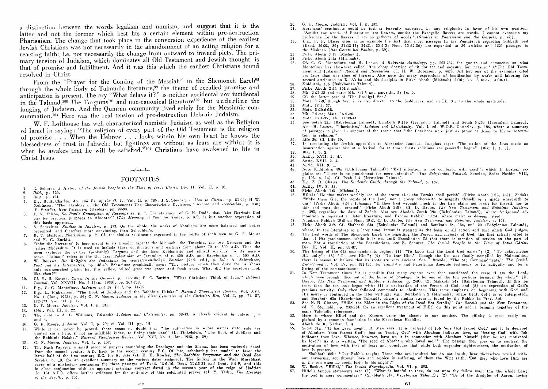· a distinction between the words legalism and nomism, and suggest that it is the latter and not the former which best fits a certain element within pre-destruction Pharisaism. The change that took place in the conversion experience of the earliest Jewish Christians was not necessarily in the abandonment of an acting religion for a reacting faith; i.e. not necessarily the change from outward to inward piety. The primary tension of Judaism, which dominates all Old Testament and Jewish thought. is that of promise and fulfillment. And it was this which the earliest Christians found resolved in Christ.

From the "Prayer for the Coming of the Messiah" in the Shemoneh Esreh98 through the whole body of Talmudic literature,<sup>99</sup> the theme of recalled promise and anticipation is present. The cry "What delays it?" is neither accidental nor incidental in the Talmud.<sup>100</sup> The Targums<sup>101</sup> and non-canonical literature<sup>102</sup> but underline the longing of Judaism. And the Qumran community lived solely for the Messianic consummation.<sup>103</sup> Here was the real tension of pre-destruction Hebraic Judaism.

W. F. Lofthouse has well characterized nomistic Judaism as well as the Religion of Israel in saying: "The religion of every part of the Old Testament is the religion of promise . . . When the Hebrew . . . looks within his own heart he knows the blessedness of trust in Jahweh; but fightings are without as fears are within; it is when he awakes that he will be safisfied."<sup>104</sup> Christians have awakened to life in Christ Jesus.

#### FOOTNOTES

- 1. E. Schurcr, *A History of the Jewish People in the Time of Jesus Christ*, Div. II, Vol. II, p. 91.
- *2. Ibid.,* p. 120.
- 
- 4. E.g. R. H. Charles, *Ap. and Ps. of the O. T.*, Vol. II, p. 786; J. S. Stewart, *A Man in Christ*, *pp. 83-92*; H. W. Robinson, "The Theology of the Old Testament: The Characteristic Doctrines," *Record and Revelation*, p. 348; E. Stanffer, *New Testament Theology*, pp. 92-93.
- F. V. Filson, *St. Paul's Conception of Recompense*, p. 7. The statement of C. H. Dodd, that "the Pharisaic God was for practical purposes an Absentee" (The Meaning of Paul for Today, p. 37), is but another expression of
- this basic approach.<br>S. Schechter, *Studies in Judaism*, p. 173. On the whole, the works of Abrahams arc more balanced and better presented, and therefore more convincing, than Schechter's.
- R. T. Herford, *Pharisaism.* p. 2. Cf. the similar sentiments expressed in the works of such men as G. F. Moore and F. C. Burkitt.
- 8. 'Talmudic literature' is here meant in its broader aspect: the Mishnah, the Tosephta, the two Gemaras and the earlier Midrashim. It is used to include those codifications and writings from about 70 to 500 A.D. Thus the term excludes the earlier (probably) Targurns and the later Kabbalistic ann ethical writings. In its narrow sense, 'Talmud' refers to the Gemaras: Palestinian or Jerusalem of c. 400 A.D. and Babylonian of c. 500 A.D.
- 9. W. Boussct, *Die Religion des ludentums im neutestamentlichen Zeitaler* (2nd. ed.), p. 541; A. Schweitzer. *Paul and his Interpreters, pp. 48-49. Schweitzer graphically says: "The picture which they draw for us shows* only sun-scorched plain, but this yellow, wilted grass was green and fresh once. What did the meadows look like then?"
- 0. Cf. B. S. Easton, Christ in the Gospels, pp. 89-108; F. C. Burkitt, "What Christians Think of Jews," *Hibbert lournol,* Vo!. XXVIII, No. 2 (Jan., 1930), pp. 267·269.
- ll. E.g., C. G. Montefiore, *ludaism and St. Paul,* pp. 14·15.
- 12. E.g., L. Finkelstein, "The Book of Jllbilees and the Rabbinic Halaka," *Harvard Theological Review,* Va1. XVI, No. 1 (Jan., 1923), p. 39; G. F. Moore, *Judaism in the First Centuries of the Christian Era*, Vol. I, pp. 71, 87, 172·173. Vo!. Ill. p. 17.
- 13. G. F. Moore, *ludaism,* Vol. I, p. 13l.
- 14. *Ibid.*, Vol. III, p. 22.
- 15. The debt to A. L. Williams, *Talmudic Judaism and Christianity*, pp. 38-43, is clearly evident in points 1. 2 and 4.
- 16. G. F. Moore, *Iltdaism,* Vo!. I, p. 29; cL Vol. Ill, pp. 6ff.
- 17. While it can ncyer be proved, there seems no doubt thal "the authorities in whose names statements are quoted are a help, if not an infallible index, to fixing their date" (L. Finkelstein, "The Book of Jubilees and the Rabbinic Halaka," *Harvard Theological Review,* Vol. XVI, No. 1, Jan. 1923, p. 39).
- 18. G. F. Moore, *Judaism*, Vol. I, p. 157.
- 19. The Nash Papyrus, a small picce of papyrus containing the Decalogue and thc Shcma, has been variously dated from the second century A.D. back to the second century B.C. Of late, scholarship has tended to favor the latter half of the first century B.C. for its date (cf. H. H. Rowley, *The Zadokite Fragments and the Dead Sea Scrolls,* p. 13, for an excellent summary on the various dates assigned). The finding in the Wadi Murabbaat caves of a phylactery containing: the three passages of Exod. 13 :1-16, Deut. 11 :13·21 *and* Dent. 6 :4·9, and thi3 in close conjunction with an apparent marriage contract dated in the seventh year of the reign of Hadrian (c. 124 A.D.), offers further evidence for the antiquity of this celebrated prayer (cf. Y. Yadin, *The Message oJ the Scrolls,* p. 70).
- 20. G. F. Moore, *Judaism*, Vol. I, p. 132.
- 21. Abrahams' sentiments could be just as fervently expressed by any religionist in favor of his own position: •• Amidst the weeds of Pharisaism are flowers, amidst the Evangelic flowers are weeds. I cannot overcome my preference for the flowers, I am no gatherer of weeds" *(Studies in Pharisaism and the Gospels, p. vii)*.
- 22. E.g., P. P. Blaser cites as all example the fact that short passages in the Pentateuch regarding Sabbath rest (Exod. 16:23, 30; 31:12·17; 34:21; 35:1·3; Num. 13:32·36) are expanded to 39 articles and 1521 passages in the Mishnah *(Das Gesetz bei Paulus,* p. 39).
- 23. Pirkc Aboth 3 :19 (Mishnah).
- $24.$ l'irke Aboth 2:la (Mishnah).
- 25. 26. CL C. G. Montefiore and H. Loewe, *A Rabbinic Anthology,* pp. 202·232, for quotes and comments on what 1Ionlefiorc has elsewhere called "the chcap doctrine of ti.t for tat and measure for measure" ("The Old Testament and Judaism," *Record and Revelation.* cd. H. W. Robinson, p. 447). All but one of the examples cited arc later than our timc of interest. Also note the many expressions of justification by works and laboring for reward attributed to R. Akiba and his disciples in Pirke Aboth (Mishnah) 2:16; 3:2, 3:16-17; 4:10-11. Kiddushin 40b (Babylonian Talmud).
- 27. Pirke Aboth 2:14 (Mishnah).
- 28.
- 29. Mk. 2 :23·28 und par.; Mk. '3 :1-5 and par.; In. 5; In. 9. Cf. the latter part of 'The Prodigal Son.'
- 30. Matt. 3:7-9, though here it is also directed to the Sadducees, and in Lk. 3:7 to the whole multitude.
- 31. Matt. 12 :33·37.
- 32. Matt. 5:20-6:18.
- 33.
- 34. Mk. 7 :1,23; Matt. 15 :1·20. Matt. 23:1-35: Lk. 11:39-44.
- 35. Scc Sotah 22b (R.lbylonian Talmud), Berakoth 9 :Hb (Jerusalem Talmud) and Sotah 5 :20c (Jerusalem Talmud). Also H. Lot'wc, "Pharisaism," *Judaism and Christianity,* Vo!. I, ed. W.O.E. Oesterley, p. 186, where a summary of passages is given in support of the thesis that "the Pharisees were just as prone as Jesus to blame ostentation in religion."
- 36. Life 56. Cf. Life 39.
- 37. In recounting the Jewish opposition to Alexander Janneus, Josephus says: "The nation of the Jews made an insurrection against him at a festival, for at those feasts seditions are generally begun" (War I. 4. 3).
- 38. War I. 5. 2.
- 39. 40. Antiq. XVII. 2. Iff.
- 41. Antiq. XVII. 2. 4.
- Antiq. XII. 9. l.
- 42. Note Kiddllshin 40a (Babylonian Talmud): "Evil intention is not combined with deed"; which 1. Epstein explains as: "Thcre is no punishment for mere intention" *(The Babylonian Talmud,* Soncino, Seder Nashim VIII, p. 198, n. 14). Cf. Peah 1:1 (Jerusalem Talmud).
- 43. E.g. Z. H. Chajes, The Student's Guide through the Talmud, p. 169.
- 44. Antiq. IV. 8. 33.
- 45. Pirke Aboth 1:3 (Mishnah).
- 46. Hillel: "He that makes worldly use of the crown (i.e. the Torah) shall perish" (Pirke Ahoth 1 :13, 4 :5); Zadok: "Make them (i.e. the words of the Law) not a crown wherewith to magnify thyself or a spade wherewith to dig" (Pirke Aboth 4:5); 10hanan: "If thou hast wrought much in the Law claim not merit for thyself, for to this end wast thou created" (Pirke Aboth 2 :8). Cf. D. Daube, *The New Testament and Rabbinic ludaism.*  p. 395, regarding the date of Zadok. Also see Ahodah Zarah 19a (Babylonian Talmud), where Antigonus' ad. monition is repeated in later literature, and Exodus Rabbah 30 :24, where merit is de·emphasized.
- Numbers Rabbah 19:8 on Num. 19:2. ef D. Daube, *The New Testament and Rabbinic ludaism,* p. 107.
- 47. 48. Pirke Aboth 2 :9. CL Shabbath 63a (Babylonian Talmud) and Berakoth 6a, 13a, and 20 (Babylonian Talmud), where, in the literature of a later time, intent is stressed as the basis of all action and that which God judges.
- 49. The first words of The Shemoneh Esreh are regarding the Person and majesty of God, the first activity cited is that of His graciousness, while it is not until Benediction #5 that there is mention of service on the part of man. For a translation of the Benedictions, see E. Sehurer, *The Jewish People in the Time of Jesus Christ,*  Div. lI, Vo!. II, pp. 85·87.
- 50. The listing of the 613 commandments begins: (1) "To know that the Lord God exists"; (2) "To acknowledge His unity"; (3) "To love Him"; (4) "To fear Him." Though the list was finally compiled by Maimonides. there IS reason to believe that its roots are very ancient. See I Broyde, "The 613 Commandments," *The Jewish Encyclopedia,* Vol. IV, pp. 181·186, for Tannaitic and Palestinian Amoraic testimony to its antiquity and for a listing of the commandments.
- 51. In New Testament times "it is possible that many experts even then considered the verse 'I am the Lord, which have brought thee out of the house of bondage' to be one of the ten portions forming the whole" (D. Daube, *The New Testament and Rabbinic Judaism*, p. 249). Cf. Makkoth 24a (Babylonian Talmud). If this be true, then the ten laws began with: (1) a declaration of the Person of God, and (2) an expression of God's gracious activity. Only then followed commands to obedience. This same emphasis on beginning with God and His mercy is continued in the later writings; e.g., Berakoth 2:2 (Mishnah), where Deut. 6 :4-9 is so interpreted; and Berakoth 63a (Babylonian Talmud), where a similar stress is found by the Rabbis in Prov. 3:6.
- 52. Sce N. N. Glatzer, "Hillel the Elder in the Light of the Dead Sea Scrolls," *The Scrolls and the New Testament,*  ed. K. Stendahl, pp. 233-234, for an excellent treatment of Hillel on this point and a bringing together of the many Talmudic references.
- 53. Here is where Hillel and the Essenes came the closest to one another. The affinity is most easily ex· plained by a common foundation in the Maccabean Hasidim.
- 54. Aboth de R. Nathan 1. 4.
- 55. Sotah 31a: "It has been taught: R. Meir says: It is declared of Job 'one that feared God,' and it is declared of Abraham 'thou fearest God'; just as 'fearing God' with Abraham indicates love, so 'fearing God' with Job indicates from love. Whence, however, have we it in connection with Abraham himself [that he was motivated by love?] As it is written, 'The seed of Ahraham who loved me.'" The passage then goes on to contrast the motivation of love with that of fear; and concludes that while both engender righteousness, the motivation of love is greater.

Shabhath 88b: "Our Rahbis taught: Those who are insulted but do not insult, hear themselves reviled with. out answering, act through love and rejoice in suffering, of them the Writ saith, 'But they who love Him are as the sun when he goeth forth in his might'."

- 56. W. Bacher, HHillel," *The Jewish Encyclopedia,* Vol. VI, p. 398.
- 57. Hillel's famous statements are: (1) "What is hateful to thee, do not unto thy fellow man: this the whole Law; the rest is mere commentary" (Shahbath 31a, Babylonian Talmud); (2) "Be of the disciples of Aaron, loving